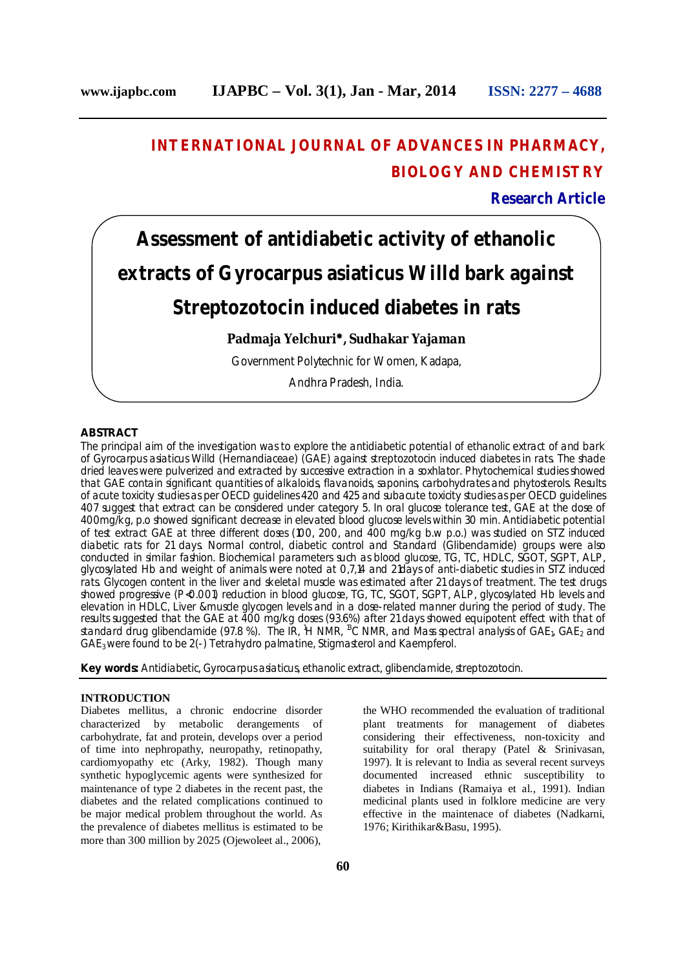# **INTERNATIONAL JOURNAL OF ADVANCES IN PHARMACY, BIOLOGY AND CHEMISTRY**

**Research Article**

# **Assessment of antidiabetic activity of ethanolic extracts of** *Gyrocarpus asiaticus* **Willd bark against Streptozotocin induced diabetes in rats**

# **Padmaja Yelchuri, Sudhakar Yajaman**

Government Polytechnic for Women, Kadapa,

Andhra Pradesh, India.

# **ABSTRACT**

The principal aim of the investigation was to explore the antidiabetic potential of ethanolic extract of and bark of *Gyrocarpus asiaticus Willd* (Hernandiaceae) (GAE) against streptozotocin induced diabetes in rats. The shade dried leaves were pulverized and extracted by successive extraction in a soxhlator. Phytochemical studies showed that GAE contain significant quantities of alkaloids, flavanoids, saponins, carbohydrates and phytosterols. Results of acute toxicity studies as per OECD guidelines 420 and 425 and subacute toxicity studies as per OECD guidelines 407 suggest that extract can be considered under category 5. In oral glucose tolerance test, GAE at the dose of 400mg/kg, p.o showed significant decrease in elevated blood glucose levels within 30 min. Antidiabetic potential of test extract GAE at three different doses (100, 200, and 400 mg/kg b.w p.o.) was studied on STZ induced diabetic rats for 21 days. Normal control, diabetic control and Standard (Glibenclamide) groups were also conducted in similar fashion. Biochemical parameters such as blood glucose, TG, TC, HDLC, SGOT, SGPT, ALP, glycosylated Hb and weight of animals were noted at 0,7,14 and 21days of anti-diabetic studies in STZ induced rats. Glycogen content in the liver and skeletal muscle was estimated after 21 days of treatment. The test drugs showed progressive (P<0.001) reduction in blood glucose, TG, TC, SGOT, SGPT, ALP, glycosylated Hb levels and elevation in HDLC, Liver &muscle glycogen levels and in a dose-related manner during the period of study. The results suggested that the GAE at 400 mg/kg doses (93.6%) after 21 days showed equipotent effect with that of standard drug glibenclamide (97.8 %). The IR, <sup>1</sup>H NMR, <sup>13</sup>C NMR, and Mass spectral analysis of GAE<sub>1</sub>, GAE<sub>2</sub> and GAE3 were found to be 2(-) Tetrahydro palmatine, Stigmasterol and Kaempferol.

**Key words:** Antidiabetic, *Gyrocarpus asiaticus*, ethanolic extract, glibenclamide, streptozotocin.

# **INTRODUCTION**

Diabetes mellitus, a chronic endocrine disorder characterized by metabolic derangements of carbohydrate, fat and protein, develops over a period of time into nephropathy, neuropathy, retinopathy, cardiomyopathy etc (Arky, 1982). Though many synthetic hypoglycemic agents were synthesized for maintenance of type 2 diabetes in the recent past, the diabetes and the related complications continued to be major medical problem throughout the world. As the prevalence of diabetes mellitus is estimated to be more than 300 million by 2025 (Ojewoleet al., 2006),

the WHO recommended the evaluation of traditional plant treatments for management of diabetes considering their effectiveness, non-toxicity and suitability for oral therapy (Patel & Srinivasan, 1997). It is relevant to India as several recent surveys documented increased ethnic susceptibility to diabetes in Indians (Ramaiya et al., 1991). Indian medicinal plants used in folklore medicine are very effective in the maintenace of diabetes (Nadkarni, 1976; Kirithikar&Basu, 1995).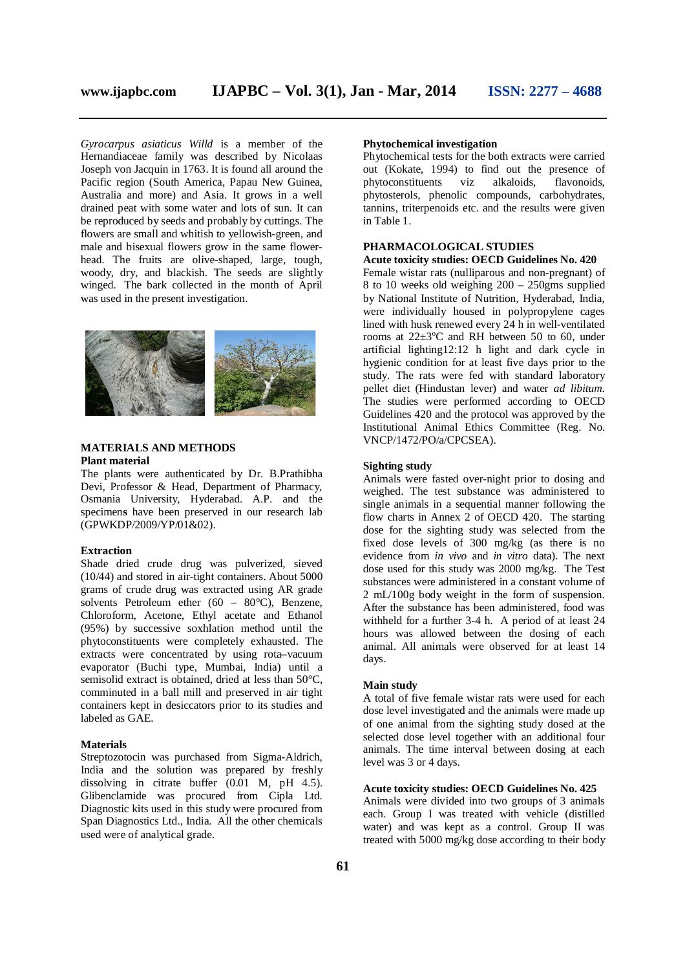*Gyrocarpus asiaticus Willd* is a member of the Hernandiaceae family was described by Nicolaas Joseph von Jacquin in 1763. It is found all around the Pacific region (South America, Papau New Guinea, Australia and more) and Asia. It grows in a well drained peat with some water and lots of sun. It can be reproduced by seeds and probably by cuttings. The flowers are small and whitish to yellowish-green, and male and bisexual flowers grow in the same flowerhead. The fruits are olive-shaped, large, tough, woody, dry, and blackish. The seeds are slightly winged. The bark collected in the month of April was used in the present investigation.



# **MATERIALS AND METHODS Plant material**

The plants were authenticated by Dr. B.Prathibha Devi, Professor & Head, Department of Pharmacy, Osmania University, Hyderabad. A.P. and the specimen**s** have been preserved in our research lab (GPWKDP/2009/YP/01&02).

# **Extraction**

Shade dried crude drug was pulverized, sieved (10/44) and stored in air-tight containers. About 5000 grams of crude drug was extracted using AR grade solvents Petroleum ether  $(60 - 80^{\circ}C)$ , Benzene, Chloroform, Acetone, Ethyl acetate and Ethanol (95%) by successive soxhlation method until the phytoconstituents were completely exhausted. The extracts were concentrated by using rota–vacuum evaporator (Buchi type, Mumbai, India) until a semisolid extract is obtained, dried at less than 50°C, comminuted in a ball mill and preserved in air tight containers kept in desiccators prior to its studies and labeled as GAE.

#### **Materials**

Streptozotocin was purchased from Sigma-Aldrich, India and the solution was prepared by freshly dissolving in citrate buffer (0.01 M, pH 4.5). Glibenclamide was procured from Cipla Ltd. Diagnostic kits used in this study were procured from Span Diagnostics Ltd., India. All the other chemicals used were of analytical grade.

# **Phytochemical investigation**

Phytochemical tests for the both extracts were carried out (Kokate, 1994) to find out the presence of phytoconstituents viz alkaloids, flavonoids, phytoconstituents viz alkaloids, flavonoids, phytosterols, phenolic compounds, carbohydrates, tannins, triterpenoids etc. and the results were given in Table 1.

#### **PHARMACOLOGICAL STUDIES**

#### **Acute toxicity studies: OECD Guidelines No. 420**

Female wistar rats (nulliparous and non-pregnant) of 8 to 10 weeks old weighing 200 – 250gms supplied by National Institute of Nutrition, Hyderabad, India, were individually housed in polypropylene cages lined with husk renewed every 24 h in well-ventilated rooms at  $22\pm3$ <sup>o</sup>C and RH between 50 to 60, under artificial lighting12:12 h light and dark cycle in hygienic condition for at least five days prior to the study. The rats were fed with standard laboratory pellet diet (Hindustan lever) and water *ad libitum.*  The studies were performed according to OECD Guidelines 420 and the protocol was approved by the Institutional Animal Ethics Committee (Reg. No. VNCP/1472/PO/a/CPCSEA).

#### **Sighting study**

Animals were fasted over-night prior to dosing and weighed. The test substance was administered to single animals in a sequential manner following the flow charts in Annex 2 of OECD 420. The starting dose for the sighting study was selected from the fixed dose levels of 300 mg/kg (as there is no evidence from *in vivo* and *in vitro* data). The next dose used for this study was 2000 mg/kg. The Test substances were administered in a constant volume of 2 mL/100g body weight in the form of suspension. After the substance has been administered, food was withheld for a further 3-4 h. A period of at least 24 hours was allowed between the dosing of each animal. All animals were observed for at least 14 days.

# **Main study**

A total of five female wistar rats were used for each dose level investigated and the animals were made up of one animal from the sighting study dosed at the selected dose level together with an additional four animals. The time interval between dosing at each level was 3 or 4 days.

#### **Acute toxicity studies: OECD Guidelines No. 425**

Animals were divided into two groups of 3 animals each. Group I was treated with vehicle (distilled water) and was kept as a control. Group II was treated with 5000 mg/kg dose according to their body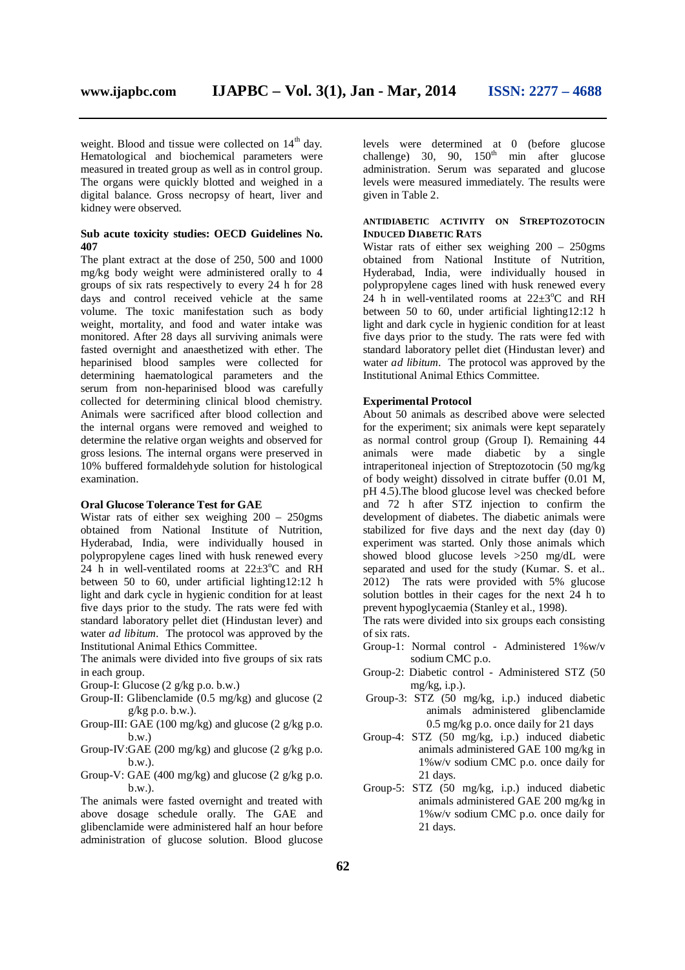weight. Blood and tissue were collected on  $14<sup>th</sup>$  day. Hematological and biochemical parameters were measured in treated group as well as in control group. The organs were quickly blotted and weighed in a digital balance. Gross necropsy of heart, liver and kidney were observed.

### **Sub acute toxicity studies: OECD Guidelines No. 407**

The plant extract at the dose of 250, 500 and 1000 mg/kg body weight were administered orally to 4 groups of six rats respectively to every 24 h for 28 days and control received vehicle at the same volume. The toxic manifestation such as body weight, mortality, and food and water intake was monitored. After 28 days all surviving animals were fasted overnight and anaesthetized with ether. The heparinised blood samples were collected for determining haematological parameters and the serum from non-heparinised blood was carefully collected for determining clinical blood chemistry. Animals were sacrificed after blood collection and the internal organs were removed and weighed to determine the relative organ weights and observed for gross lesions. The internal organs were preserved in 10% buffered formaldehyde solution for histological examination.

### **Oral Glucose Tolerance Test for GAE**

Wistar rats of either sex weighing 200 – 250gms obtained from National Institute of Nutrition, Hyderabad, India, were individually housed in polypropylene cages lined with husk renewed every 24 h in well-ventilated rooms at  $22\pm3\degree$ C and RH between 50 to 60, under artificial lighting12:12 h light and dark cycle in hygienic condition for at least five days prior to the study. The rats were fed with standard laboratory pellet diet (Hindustan lever) and water *ad libitum.* The protocol was approved by the Institutional Animal Ethics Committee.

The animals were divided into five groups of six rats in each group.

- Group-I: Glucose (2 g/kg p.o. b.w.)
- Group-II: Glibenclamide (0.5 mg/kg) and glucose (2 g/kg p.o. b.w.).
- Group-III: GAE (100 mg/kg) and glucose (2 g/kg p.o. b.w.)
- Group-IV:GAE (200 mg/kg) and glucose (2 g/kg p.o. b.w.).
- Group-V: GAE (400 mg/kg) and glucose (2 g/kg p.o. b.w.).

The animals were fasted overnight and treated with above dosage schedule orally. The GAE and glibenclamide were administered half an hour before administration of glucose solution. Blood glucose

levels were determined at 0 (before glucose challenge) 30, 90,  $150<sup>th</sup>$  min after glucose administration. Serum was separated and glucose levels were measured immediately. The results were given in Table 2.

#### **ANTIDIABETIC ACTIVITY ON STREPTOZOTOCIN INDUCED DIABETIC RATS**

Wistar rats of either sex weighing 200 – 250gms obtained from National Institute of Nutrition, Hyderabad, India, were individually housed in polypropylene cages lined with husk renewed every 24 h in well-ventilated rooms at  $22\pm3$ <sup>o</sup>C and RH between 50 to 60, under artificial lighting12:12 h light and dark cycle in hygienic condition for at least five days prior to the study. The rats were fed with standard laboratory pellet diet (Hindustan lever) and water *ad libitum.* The protocol was approved by the Institutional Animal Ethics Committee.

#### **Experimental Protocol**

About 50 animals as described above were selected for the experiment; six animals were kept separately as normal control group (Group I). Remaining 44 animals were made diabetic by a single intraperitoneal injection of Streptozotocin (50 mg/kg of body weight) dissolved in citrate buffer (0.01 M, pH 4.5).The blood glucose level was checked before and 72 h after STZ injection to confirm the development of diabetes. The diabetic animals were stabilized for five days and the next day (day 0) experiment was started. Only those animals which showed blood glucose levels >250 mg/dL were separated and used for the study (Kumar. S. et al.. 2012) The rats were provided with 5% glucose solution bottles in their cages for the next 24 h to prevent hypoglycaemia (Stanley et al., 1998).

The rats were divided into six groups each consisting of six rats.

- Group-1: Normal control Administered 1%w/v sodium CMC p.o.
- Group-2: Diabetic control Administered STZ (50 mg/kg, i.p.).
- Group-3: STZ (50 mg/kg, i.p.) induced diabetic animals administered glibenclamide 0.5 mg/kg p.o. once daily for 21 days
- Group-4: STZ (50 mg/kg, i.p.) induced diabetic animals administered GAE 100 mg/kg in 1%w/v sodium CMC p.o. once daily for 21 days.
- Group-5: STZ (50 mg/kg, i.p.) induced diabetic animals administered GAE 200 mg/kg in 1%w/v sodium CMC p.o. once daily for 21 days.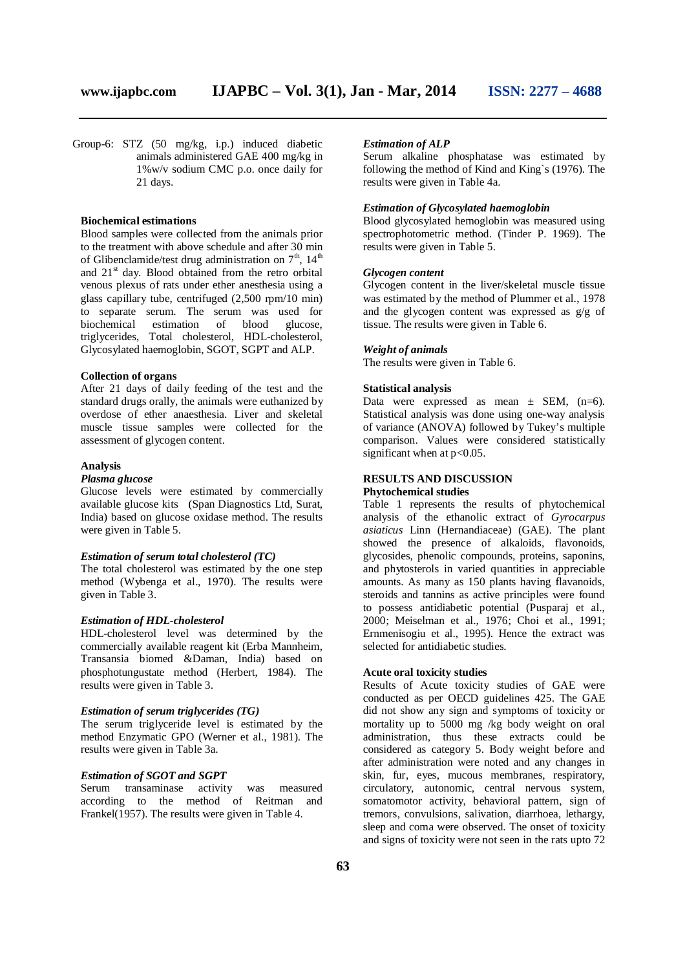Group-6: STZ (50 mg/kg, i.p.) induced diabetic animals administered GAE 400 mg/kg in 1%w/v sodium CMC p.o. once daily for 21 days.

# **Biochemical estimations**

Blood samples were collected from the animals prior to the treatment with above schedule and after 30 min of Glibenclamide/test drug administration on  $7<sup>th</sup>$ ,  $14<sup>th</sup>$ and  $21<sup>st</sup>$  day. Blood obtained from the retro orbital venous plexus of rats under ether anesthesia using a glass capillary tube, centrifuged (2,500 rpm/10 min) to separate serum. The serum was used for biochemical estimation of blood glucose, triglycerides, Total cholesterol, HDL-cholesterol, Glycosylated haemoglobin, SGOT, SGPT and ALP.

#### **Collection of organs**

After 21 days of daily feeding of the test and the standard drugs orally, the animals were euthanized by overdose of ether anaesthesia. Liver and skeletal muscle tissue samples were collected for the assessment of glycogen content.

#### **Analysis**

#### *Plasma glucose*

Glucose levels were estimated by commercially available glucose kits (Span Diagnostics Ltd, Surat, India) based on glucose oxidase method. The results were given in Table 5.

#### *Estimation of serum total cholesterol (TC)*

The total cholesterol was estimated by the one step method (Wybenga et al., 1970). The results were given in Table 3.

#### *Estimation of HDL-cholesterol*

HDL-cholesterol level was determined by the commercially available reagent kit (Erba Mannheim, Transansia biomed &Daman, India) based on phosphotungustate method (Herbert, 1984). The results were given in Table 3.

# *Estimation of serum triglycerides (TG)*

The serum triglyceride level is estimated by the method Enzymatic GPO (Werner et al., 1981). The results were given in Table 3a.

# *Estimation of SGOT and SGPT*

Serum transaminase activity was measured according to the method of Reitman and Frankel(1957). The results were given in Table 4.

#### *Estimation of ALP*

Serum alkaline phosphatase was estimated by following the method of Kind and King`s (1976). The results were given in Table 4a.

#### *Estimation of Glycosylated haemoglobin*

Blood glycosylated hemoglobin was measured using spectrophotometric method. (Tinder P. 1969). The results were given in Table 5.

#### *Glycogen content*

Glycogen content in the liver/skeletal muscle tissue was estimated by the method of Plummer et al., 1978 and the glycogen content was expressed as g/g of tissue. The results were given in Table 6.

#### *Weight of animals*

The results were given in Table 6.

#### **Statistical analysis**

Data were expressed as mean  $\pm$  SEM, (n=6). Statistical analysis was done using one-way analysis of variance (ANOVA) followed by Tukey's multiple comparison. Values were considered statistically significant when at  $p<0.05$ .

#### **RESULTS AND DISCUSSION**

# **Phytochemical studies**

Table 1 represents the results of phytochemical analysis of the ethanolic extract of *Gyrocarpus asiaticus* Linn (Hernandiaceae) (GAE). The plant showed the presence of alkaloids, flavonoids, glycosides, phenolic compounds, proteins, saponins, and phytosterols in varied quantities in appreciable amounts. As many as 150 plants having flavanoids, steroids and tannins as active principles were found to possess antidiabetic potential (Pusparaj et al., 2000; Meiselman et al., 1976; Choi et al., 1991; Ernmenisogiu et al., 1995). Hence the extract was selected for antidiabetic studies.

# **Acute oral toxicity studies**

Results of Acute toxicity studies of GAE were conducted as per OECD guidelines 425. The GAE did not show any sign and symptoms of toxicity or mortality up to 5000 mg /kg body weight on oral administration, thus these extracts could be considered as category 5. Body weight before and after administration were noted and any changes in skin, fur, eyes, mucous membranes, respiratory, circulatory, autonomic, central nervous system, somatomotor activity, behavioral pattern, sign of tremors, convulsions, salivation, diarrhoea, lethargy, sleep and coma were observed. The onset of toxicity and signs of toxicity were not seen in the rats upto 72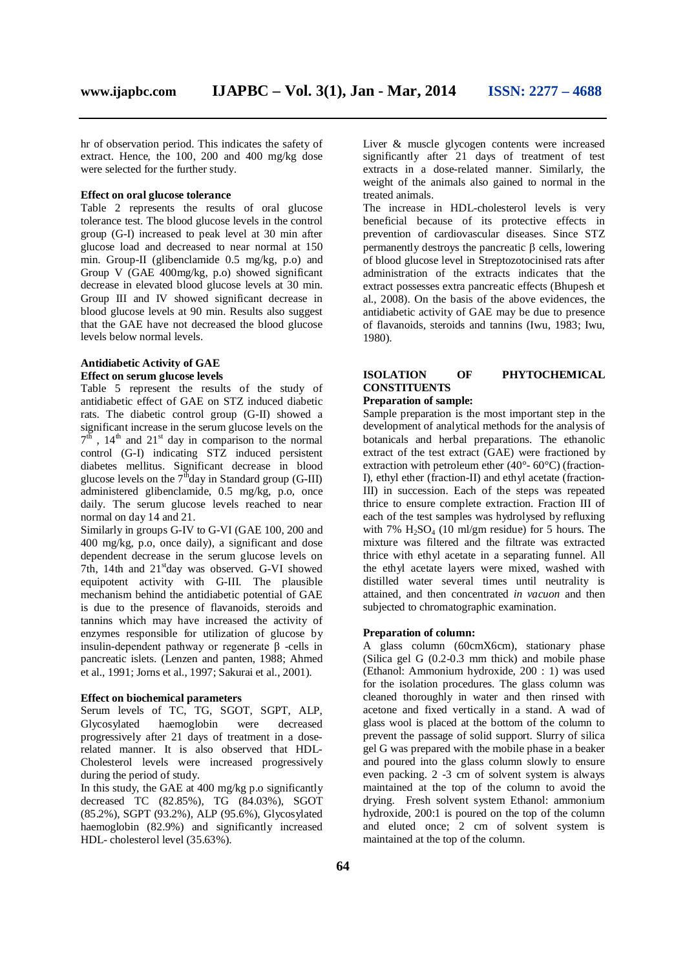hr of observation period. This indicates the safety of extract. Hence, the 100, 200 and 400 mg/kg dose were selected for the further study.

# **Effect on oral glucose tolerance**

Table 2 represents the results of oral glucose tolerance test. The blood glucose levels in the control group (G-I) increased to peak level at 30 min after glucose load and decreased to near normal at 150 min. Group-II (glibenclamide 0.5 mg/kg, p.o) and Group V (GAE 400mg/kg, p.o) showed significant decrease in elevated blood glucose levels at 30 min. Group III and IV showed significant decrease in blood glucose levels at 90 min. Results also suggest that the GAE have not decreased the blood glucose levels below normal levels.

# **Antidiabetic Activity of GAE Effect on serum glucose levels**

Table 5 represent the results of the study of antidiabetic effect of GAE on STZ induced diabetic rats. The diabetic control group (G-II) showed a significant increase in the serum glucose levels on the  $7<sup>tf</sup>$ ,  $14<sup>th</sup>$  and  $21<sup>st</sup>$  day in comparison to the normal control (G-I) indicating STZ induced persistent diabetes mellitus. Significant decrease in blood glucose levels on the  $7<sup>th</sup>$ day in Standard group (G-III) administered glibenclamide, 0.5 mg/kg, p.o, once daily. The serum glucose levels reached to near normal on day 14 and 21.

Similarly in groups G-IV to G-VI (GAE 100, 200 and 400 mg/kg, p.o, once daily), a significant and dose dependent decrease in the serum glucose levels on 7th, 14th and  $21<sup>st</sup>$ day was observed. G-VI showed equipotent activity with G-III. The plausible mechanism behind the antidiabetic potential of GAE is due to the presence of flavanoids, steroids and tannins which may have increased the activity of enzymes responsible for utilization of glucose by insulin-dependent pathway or regenerate β -cells in pancreatic islets. (Lenzen and panten, 1988; Ahmed et al., 1991; Jorns et al., 1997; Sakurai et al., 2001).

#### **Effect on biochemical parameters**

Serum levels of TC, TG, SGOT, SGPT, ALP, Glycosylated haemoglobin were decreased progressively after 21 days of treatment in a doserelated manner. It is also observed that HDL-Cholesterol levels were increased progressively during the period of study.

In this study, the GAE at 400 mg/kg p.o significantly decreased TC (82.85%), TG (84.03%), SGOT (85.2%), SGPT (93.2%), ALP (95.6%), Glycosylated haemoglobin (82.9%) and significantly increased HDL- cholesterol level (35.63%).

Liver & muscle glycogen contents were increased significantly after 21 days of treatment of test extracts in a dose-related manner. Similarly, the weight of the animals also gained to normal in the treated animals.

The increase in HDL-cholesterol levels is very beneficial because of its protective effects in prevention of cardiovascular diseases. Since STZ permanently destroys the pancreatic  $\beta$  cells, lowering of blood glucose level in Streptozotocinised rats after administration of the extracts indicates that the extract possesses extra pancreatic effects (Bhupesh et al., 2008). On the basis of the above evidences, the antidiabetic activity of GAE may be due to presence of flavanoids, steroids and tannins (Iwu, 1983; Iwu, 1980).

#### **ISOLATION OF PHYTOCHEMICAL CONSTITUENTS Preparation of sample:**

Sample preparation is the most important step in the development of analytical methods for the analysis of botanicals and herbal preparations. The ethanolic extract of the test extract (GAE) were fractioned by extraction with petroleum ether  $(40^{\circ} - 60^{\circ}C)$  (fraction-I), ethyl ether (fraction-II) and ethyl acetate (fraction-III) in succession. Each of the steps was repeated thrice to ensure complete extraction. Fraction III of each of the test samples was hydrolysed by refluxing with 7%  $H_2SO_4$  (10 ml/gm residue) for 5 hours. The mixture was filtered and the filtrate was extracted thrice with ethyl acetate in a separating funnel. All the ethyl acetate layers were mixed, washed with distilled water several times until neutrality is attained, and then concentrated *in vacuon* and then subjected to chromatographic examination.

#### **Preparation of column:**

A glass column (60cmX6cm), stationary phase (Silica gel G (0.2-0.3 mm thick) and mobile phase (Ethanol: Ammonium hydroxide, 200 : 1) was used for the isolation procedures. The glass column was cleaned thoroughly in water and then rinsed with acetone and fixed vertically in a stand. A wad of glass wool is placed at the bottom of the column to prevent the passage of solid support. Slurry of silica gel G was prepared with the mobile phase in a beaker and poured into the glass column slowly to ensure even packing. 2 -3 cm of solvent system is always maintained at the top of the column to avoid the drying. Fresh solvent system Ethanol: ammonium hydroxide, 200:1 is poured on the top of the column and eluted once; 2 cm of solvent system is maintained at the top of the column.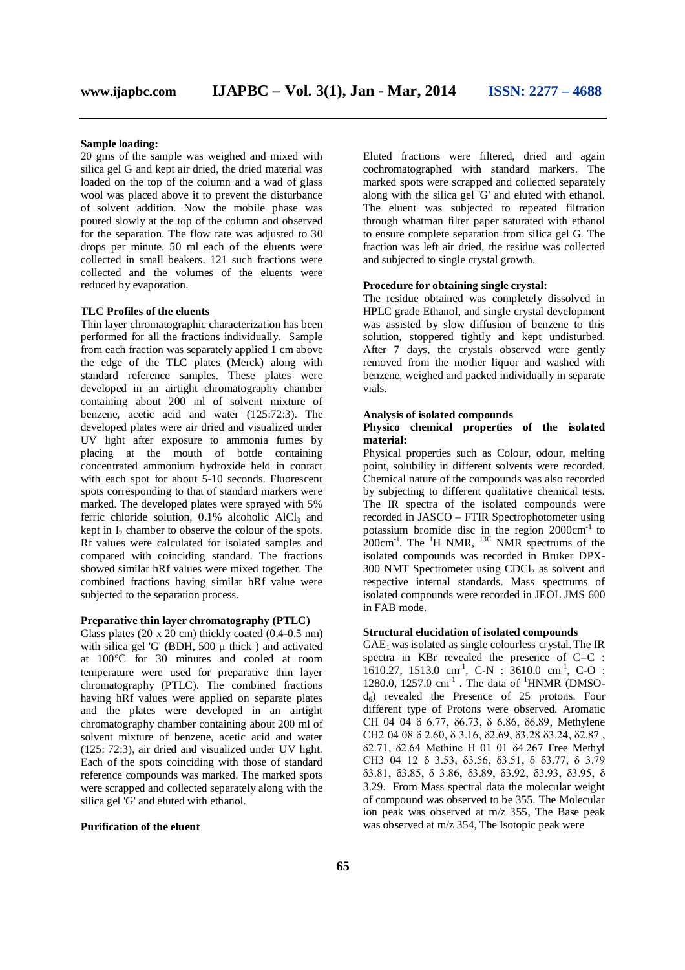# **Sample loading:**

20 gms of the sample was weighed and mixed with silica gel G and kept air dried, the dried material was loaded on the top of the column and a wad of glass wool was placed above it to prevent the disturbance of solvent addition. Now the mobile phase was poured slowly at the top of the column and observed for the separation. The flow rate was adjusted to 30 drops per minute. 50 ml each of the eluents were collected in small beakers. 121 such fractions were collected and the volumes of the eluents were reduced by evaporation.

#### **TLC Profiles of the eluents**

Thin layer chromatographic characterization has been performed for all the fractions individually. Sample from each fraction was separately applied 1 cm above the edge of the TLC plates (Merck) along with standard reference samples. These plates were developed in an airtight chromatography chamber containing about 200 ml of solvent mixture of benzene, acetic acid and water (125:72:3). The developed plates were air dried and visualized under UV light after exposure to ammonia fumes by placing at the mouth of bottle containing concentrated ammonium hydroxide held in contact with each spot for about 5-10 seconds. Fluorescent spots corresponding to that of standard markers were marked. The developed plates were sprayed with 5% ferric chloride solution,  $0.1\%$  alcoholic AlCl<sub>3</sub> and kept in I<sub>2</sub> chamber to observe the colour of the spots. Rf values were calculated for isolated samples and compared with coinciding standard. The fractions showed similar hRf values were mixed together. The combined fractions having similar hRf value were subjected to the separation process.

#### **Preparative thin layer chromatography (PTLC)**

Glass plates (20 x 20 cm) thickly coated (0.4-0.5 nm) with silica gel 'G' (BDH,  $500 \mu$  thick) and activated at 100°C for 30 minutes and cooled at room temperature were used for preparative thin layer chromatography (PTLC). The combined fractions having hRf values were applied on separate plates and the plates were developed in an airtight chromatography chamber containing about 200 ml of solvent mixture of benzene, acetic acid and water (125: 72:3), air dried and visualized under UV light. Each of the spots coinciding with those of standard reference compounds was marked. The marked spots were scrapped and collected separately along with the silica gel 'G' and eluted with ethanol.

#### **Purification of the eluent**

Eluted fractions were filtered, dried and again cochromatographed with standard markers. The marked spots were scrapped and collected separately along with the silica gel 'G' and eluted with ethanol. The eluent was subjected to repeated filtration through whatman filter paper saturated with ethanol to ensure complete separation from silica gel G. The fraction was left air dried, the residue was collected and subjected to single crystal growth.

#### **Procedure for obtaining single crystal:**

The residue obtained was completely dissolved in HPLC grade Ethanol, and single crystal development was assisted by slow diffusion of benzene to this solution, stoppered tightly and kept undisturbed. After 7 days, the crystals observed were gently removed from the mother liquor and washed with benzene, weighed and packed individually in separate vials.

#### **Analysis of isolated compounds**

#### **Physico chemical properties of the isolated material:**

Physical properties such as Colour, odour, melting point, solubility in different solvents were recorded. Chemical nature of the compounds was also recorded by subjecting to different qualitative chemical tests. The IR spectra of the isolated compounds were recorded in JASCO – FTIR Spectrophotometer using potassium bromide disc in the region 2000cm<sup>-1</sup> to  $200 \text{cm}^{-1}$ . The  $^{1}$ H NMR,  $^{13}$ C NMR spectrums of the isolated compounds was recorded in Bruker DPX-300 NMT Spectrometer using CDCl<sub>3</sub> as solvent and respective internal standards. Mass spectrums of isolated compounds were recorded in JEOL JMS 600 in FAB mode.

#### **Structural elucidation of isolated compounds**

 $GAE<sub>1</sub>$  was isolated as single colourless crystal. The IR spectra in KBr revealed the presence of C=C :  $1610.27$ , 1513.0 cm<sup>-1</sup>, C-N :  $3610.0$  cm<sup>-1</sup>, C-O : 1280.0, 1257.0 cm<sup>-1</sup>. The data of <sup>1</sup>HNMR (DMSO $d_6$ ) revealed the Presence of 25 protons. Four different type of Protons were observed. Aromatic CH 04 04 δ 6.77, δ6.73, δ 6.86, δ6.89, Methylene CH2 04 08 δ 2.60, δ 3.16, δ2.69, δ3.28 δ3.24, δ2.87 , δ2.71, δ2.64 Methine H 01 01 δ4.267 Free Methyl CH3 04 12 δ 3.53, δ3.56, δ3.51, δ δ3.77, δ 3.79 δ3.81, δ3.85, δ 3.86, δ3.89, δ3.92, δ3.93, δ3.95, δ 3.29. From Mass spectral data the molecular weight of compound was observed to be 355. The Molecular ion peak was observed at m/z 355, The Base peak was observed at m/z 354, The Isotopic peak were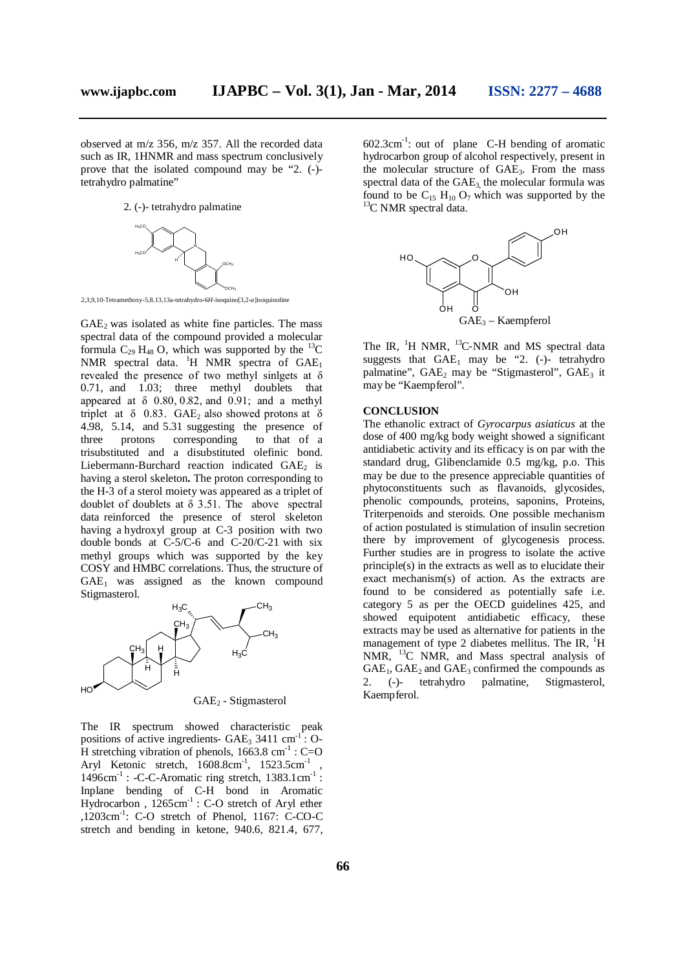observed at m/z 356, m/z 357. All the recorded data such as IR, 1HNMR and mass spectrum conclusively prove that the isolated compound may be "2. (-) tetrahydro palmatine"

2. (-)- tetrahydro palmatine



2,3,9,10-Tetramethoxy-5,8,13,13a-tetrahydro-6*H*-isoquino[3,2-*a*]isoquinoline

 $GAE<sub>2</sub>$  was isolated as white fine particles. The mass spectral data of the compound provided a molecular formula  $C_{29}$  H<sub>48</sub> O, which was supported by the <sup>13</sup>C NMR spectral data.  ${}^{1}H$  NMR spectra of  $GAE<sub>1</sub>$ revealed the presence of two methyl sinlgets at δ 0.71, and 1.03; three methyl doublets that appeared at  $\delta$  0.80, 0.82, and 0.91; and a methyl triplet at  $\delta$  0.83. GAE<sub>2</sub> also showed protons at  $\delta$ 4.98, 5.14, and 5.31 suggesting the presence of three protons corresponding to that of a trisubstituted and a disubstituted olefinic bond. Liebermann-Burchard reaction indicated  $GAE<sub>2</sub>$  is having a sterol skeleton**.** The proton corresponding to the H-3 of a sterol moiety was appeared as a triplet of doublet of doublets at  $\delta$  3.51. The above spectral data reinforced the presence of sterol skeleton having a hydroxyl group at C-3 position with two double bonds at C-5/C-6 and C-20/C-21 with six methyl groups which was supported by the key COSY and HMBC correlations. Thus, the structure of  $GAE<sub>1</sub>$  was assigned as the known compound Stigmasterol.



The IR spectrum showed characteristic peak positions of active ingredients-  $GAE_3$  3411 cm<sup>-1</sup>: O-H stretching vibration of phenols,  $1663.8 \text{ cm}^{-1}$ : C=O Aryl Ketonic stretch,  $1608.8 \text{cm}^{-1}$ ,  $1523.5 \text{cm}^{-1}$ ,  $1496 \text{cm}^{-1}$ : -C-C-Aromatic ring stretch,  $1383.1 \text{cm}^{-1}$ : Inplane bending of C-H bond in Aromatic Hydrocarbon,  $1265 \text{cm}^{-1}$ : C-O stretch of Aryl ether  $,1203$ cm<sup>-1</sup>: C-O stretch of Phenol, 1167: C-CO-C stretch and bending in ketone, 940.6, 821.4, 677,

 $602.3 \text{cm}^{-1}$ : out of plane C-H bending of aromatic hydrocarbon group of alcohol respectively, present in the molecular structure of GAE3. From the mass spectral data of the  $GAE<sub>3</sub>$ , the molecular formula was found to be  $C_{15}$  H<sub>10</sub> O<sub>7</sub> which was supported by the <sup>13</sup>C NMR spectral data.



The IR,  ${}^{1}$ H NMR,  ${}^{13}$ C-NMR and MS spectral data suggests that  $GAE_1$  may be "2. (-)- tetrahydro palmatine",  $GAE_2$  may be "Stigmasterol",  $GAE_3$  it may be "Kaempferol".

# **CONCLUSION**

The ethanolic extract of *Gyrocarpus asiaticus* at the dose of 400 mg/kg body weight showed a significant antidiabetic activity and its efficacy is on par with the standard drug, Glibenclamide 0.5 mg/kg, p.o. This may be due to the presence appreciable quantities of phytoconstituents such as flavanoids, glycosides, phenolic compounds, proteins, saponins, Proteins, Triterpenoids and steroids. One possible mechanism of action postulated is stimulation of insulin secretion there by improvement of glycogenesis process. Further studies are in progress to isolate the active principle(s) in the extracts as well as to elucidate their exact mechanism(s) of action. As the extracts are found to be considered as potentially safe i.e. category 5 as per the OECD guidelines 425, and showed equipotent antidiabetic efficacy, these extracts may be used as alternative for patients in the management of type 2 diabetes mellitus. The IR,  $\mathrm{^{1}H}$ NMR, <sup>13</sup>C NMR, and Mass spectral analysis of  $GAE<sub>1</sub>$ ,  $GAE<sub>2</sub>$  and  $GAE<sub>3</sub>$  confirmed the compounds as 2. (-)- tetrahydro palmatine, Stigmasterol, Kaempferol.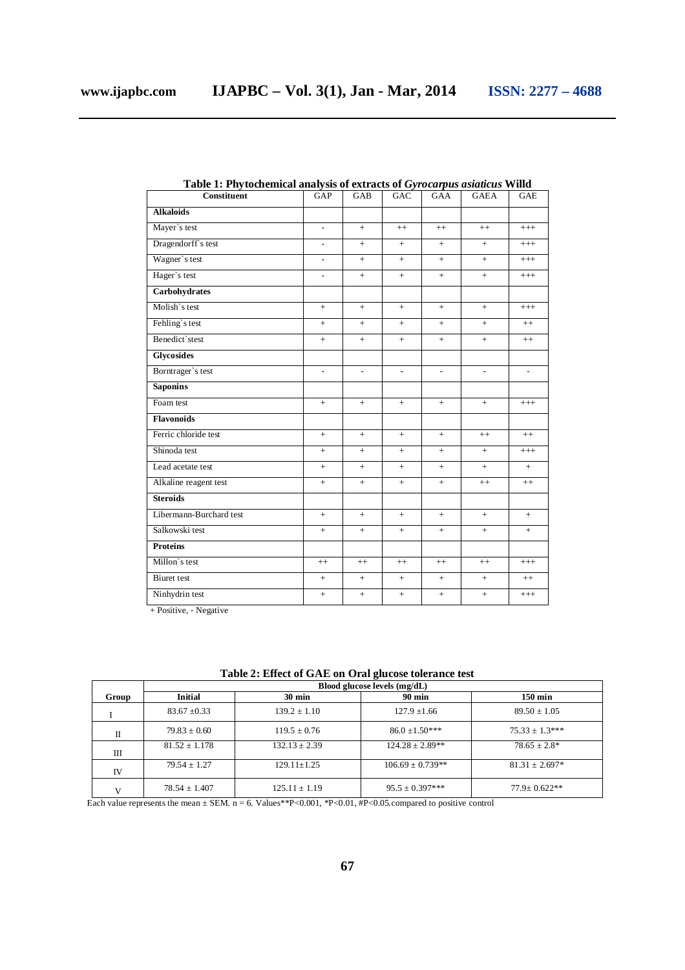| Constituent             | GAP                      | GAB            | GAC            | GAA            | <b>GAEA</b>    | <b>GAE</b>               |
|-------------------------|--------------------------|----------------|----------------|----------------|----------------|--------------------------|
| <b>Alkaloids</b>        |                          |                |                |                |                |                          |
| Mayer's test            | $\overline{a}$           | $+$            | $++$           | $++$           | $++$           | $+++$                    |
| Dragendorff's test      | $\overline{\phantom{a}}$ | $^{+}$         | $^{+}$         | $+$            | $^{+}$         | $^{+++}$                 |
| Wagner's test           | $\overline{\phantom{a}}$ | $+$            | $+$            | $+$            | $+$            | $^{+++}$                 |
| Hager's test            | $\overline{\phantom{a}}$ | $^{+}$         | $+$            | $^{+}$         | $^{+}$         | $+++$                    |
| <b>Carbohydrates</b>    |                          |                |                |                |                |                          |
| Molish's test           | $+$                      | $+$            | $+$            | $^{+}$         | $^{+}$         | $^{+++}$                 |
| Fehling's test          | $+$                      | $+$            | $+$            | $+$            | $+$            | $++$                     |
| Benedict`stest          | $+$                      | $+$            | $+$            | $+$            | $+$            | $^{++}$                  |
| <b>Glycosides</b>       |                          |                |                |                |                |                          |
| Borntrager's test       | $\overline{a}$           | $\overline{a}$ | $\overline{a}$ | $\overline{a}$ | $\overline{a}$ | $\overline{\phantom{a}}$ |
| <b>Saponins</b>         |                          |                |                |                |                |                          |
| Foam test               | $+$                      | $+$            | $+$            | $^{+}$         | $^{+}$         | $^{+++}$                 |
| <b>Flavonoids</b>       |                          |                |                |                |                |                          |
| Ferric chloride test    | $+$                      | $+$            | $^{+}$         | $+$            | $++$           | $++$                     |
| Shinoda test            | $+$                      | $+$            | $+$            | $^{+}$         | $+$            | $^{+++}$                 |
| Lead acetate test       | $+$                      | $+$            | $+$            | $^{+}$         | $+$            | $+$                      |
| Alkaline reagent test   | $+$                      | $+$            | $+$            | $^{+}$         | $++$           | $++$                     |
| <b>Steroids</b>         |                          |                |                |                |                |                          |
| Libermann-Burchard test | $+$                      | $+$            | $^{+}$         | $^{+}$         | $^{+}$         | $^{+}$                   |
| Salkowski test          | $+$                      | $+$            | $+$            | $+$            | $+$            | $^{+}$                   |
| <b>Proteins</b>         |                          |                |                |                |                |                          |
| Millon's test           | $++$                     | $++$           | $++$           | $++$           | $++$           | $+++$                    |
| <b>Biuret</b> test      | $+$                      | $+$            | $^{+}$         | $^{+}$         | $^{+}$         | $++$                     |
| Ninhydrin test          | $+$                      | $+$            | $+$            | $+$            | $+$            | $+++$                    |

**Table 1: Phytochemical analysis of extracts of** *Gyrocarpus asiaticus* **Willd**

+ Positive, ‐ Negative

**Table 2: Effect of GAE on Oral glucose tolerance test**

|       |                   |                   | $\blacksquare$               |                      |
|-------|-------------------|-------------------|------------------------------|----------------------|
|       |                   |                   | Blood glucose levels (mg/dL) |                      |
| Group | <b>Initial</b>    | $30 \text{ min}$  | <b>90 min</b>                | $150 \,\mathrm{min}$ |
|       | $83.67 \pm 0.33$  | $139.2 \pm 1.10$  | $127.9 \pm 1.66$             | $89.50 \pm 1.05$     |
| П     | $79.83 \pm 0.60$  | $119.5 \pm 0.76$  | $86.0 \pm 1.50***$           | $75.33 \pm 1.3***$   |
| Ш     | $81.52 \pm 1.178$ | $132.13 \pm 2.39$ | $124.28 \pm 2.89**$          | $78.65 + 2.8*$       |
| IV    | $79.54 \pm 1.27$  | $129.11 \pm 1.25$ | $106.69 \pm 0.739**$         | $81.31 \pm 2.697*$   |
|       | $78.54 \pm 1.407$ | $125.11 \pm 1.19$ | $95.5 \pm 0.397***$          | $77.9 \pm 0.622**$   |

Each value represents the mean  $\pm$  SEM. n = 6. Values\*\*P<0.01, \*P<0.01, #P<0.05.compared to positive control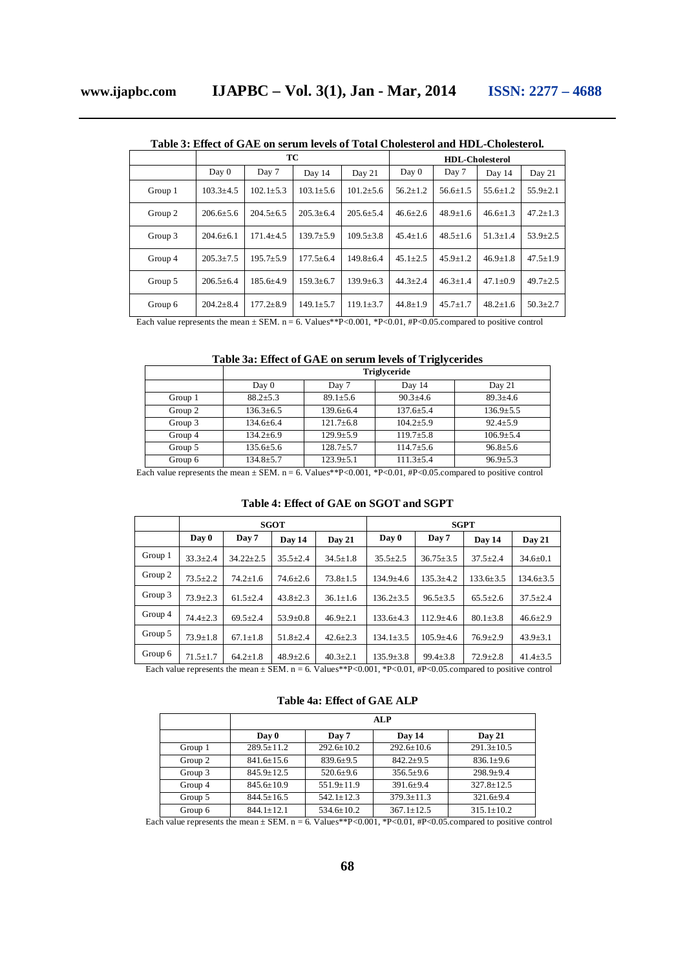|         | Table 9 : Elittle of OATE on strain levels of Tolar Cholesterol and Tib E-Cholesterol. |                 |                 |                        |                |                |                |                |
|---------|----------------------------------------------------------------------------------------|-----------------|-----------------|------------------------|----------------|----------------|----------------|----------------|
|         |                                                                                        |                 | TC              | <b>HDL-Cholesterol</b> |                |                |                |                |
|         | Day 0                                                                                  | Day 7           | Day 14          | Day 21                 | Day 0          | Day 7          | Day 14         | Day 21         |
| Group 1 | $103.3 \pm 4.5$                                                                        | $102.1 \pm 5.3$ | $103.1 \pm 5.6$ | $101.2 \pm 5.6$        | $56.2 \pm 1.2$ | $56.6 \pm 1.5$ | $55.6 \pm 1.2$ | $55.9 \pm 2.1$ |
| Group 2 | $206.6 \pm 5.6$                                                                        | $204.5 \pm 6.5$ | $205.3 \pm 6.4$ | $205.6 \pm 5.4$        | $46.6 \pm 2.6$ | $48.9 \pm 1.6$ | $46.6 \pm 1.3$ | $47.2 \pm 1.3$ |
| Group 3 | $204.6 \pm 6.1$                                                                        | $171.4 + 4.5$   | $139.7 \pm 5.9$ | $109.5 \pm 3.8$        | $45.4 \pm 1.6$ | $48.5 \pm 1.6$ | $51.3 \pm 1.4$ | $53.9 \pm 2.5$ |
| Group 4 | $205.3 \pm 7.5$                                                                        | $195.7 \pm 5.9$ | $177.5 \pm 6.4$ | $149.8 \pm 6.4$        | $45.1 + 2.5$   | $45.9 + 1.2$   | $46.9 \pm 1.8$ | $47.5 \pm 1.9$ |
| Group 5 | $206.5 \pm 6.4$                                                                        | $185.6 \pm 4.9$ | $159.3 \pm 6.7$ | $139.9 \pm 6.3$        | $44.3 \pm 2.4$ | $46.3 \pm 1.4$ | $47.1 \pm 0.9$ | $49.7 \pm 2.5$ |
| Group 6 | $204.2 \pm 8.4$                                                                        | $177.2 \pm 8.9$ | $149.1 \pm 5.7$ | $119.1 \pm 3.7$        | $44.8 \pm 1.9$ | $45.7 \pm 1.7$ | $48.2 \pm 1.6$ | $50.3 \pm 2.7$ |

**Table 3: Effect of GAE on serum levels of Total Cholesterol and HDL-Cholesterol.**

Each value represents the mean  $\pm$  SEM. n = 6. Values\*\*P<0.001, \*P<0.01, #P<0.05.compared to positive control

# **Table 3a: Effect of GAE on serum levels of Triglycerides**

|         | <b>Triglyceride</b> |                 |                 |                 |  |  |
|---------|---------------------|-----------------|-----------------|-----------------|--|--|
|         | Day 0               | Day 7           | Day 14          | Day 21          |  |  |
| Group 1 | $88.2 \pm 5.3$      | $89.1 \pm 5.6$  | $90.3 \pm 4.6$  | $89.3 \pm 4.6$  |  |  |
| Group 2 | $136.3 \pm 6.5$     | $139.6 \pm 6.4$ | $137.6 + 5.4$   | $136.9 \pm 5.5$ |  |  |
| Group 3 | $134.6 \pm 6.4$     | $121.7 \pm 6.8$ | $104.2 + 5.9$   | $92.4 + 5.9$    |  |  |
| Group 4 | $134.2 \pm 6.9$     | $129.9 + 5.9$   | $119.7 \pm 5.8$ | $106.9 \pm 5.4$ |  |  |
| Group 5 | $135.6 \pm 5.6$     | $128.7 \pm 5.7$ | $114.7 \pm 5.6$ | $96.8 \pm 5.6$  |  |  |
| Group 6 | $134.8 \pm 5.7$     | $123.9 \pm 5.1$ | $111.3 \pm 5.4$ | $96.9 \pm 5.3$  |  |  |

Each value represents the mean  $\pm$  SEM. n = 6. Values\*\*P<0.001, \*P<0.01, #P<0.05.compared to positive control

|         |                | <b>SGOT</b>     |                |                |                 | <b>SGPT</b>     |                 |                 |  |
|---------|----------------|-----------------|----------------|----------------|-----------------|-----------------|-----------------|-----------------|--|
|         | Day 0          | Day 7           | Day 14         | Day 21         | Day 0           | Day 7           | Day 14          | Day 21          |  |
| Group 1 | $33.3 \pm 2.4$ | $34.22 \pm 2.5$ | $35.5 \pm 2.4$ | $34.5 \pm 1.8$ | $35.5 \pm 2.5$  | $36.75 \pm 3.5$ | $37.5 \pm 2.4$  | $34.6 \pm 0.1$  |  |
| Group 2 | $73.5 \pm 2.2$ | $74.2 \pm 1.6$  | $74.6 \pm 2.6$ | $73.8 \pm 1.5$ | $134.9 \pm 4.6$ | $135.3 \pm 4.2$ | $133.6 \pm 3.5$ | $134.6 \pm 3.5$ |  |
| Group 3 | $73.9 \pm 2.3$ | $61.5 \pm 2.4$  | $43.8 \pm 2.3$ | $36.1 \pm 1.6$ | $136.2 \pm 3.5$ | $96.5 \pm 3.5$  | $65.5 \pm 2.6$  | $37.5 \pm 2.4$  |  |
| Group 4 | $74.4 \pm 2.3$ | $69.5 \pm 2.4$  | $53.9 \pm 0.8$ | $46.9 \pm 2.1$ | $133.6 \pm 4.3$ | $112.9 \pm 4.6$ | $80.1 \pm 3.8$  | $46.6 \pm 2.9$  |  |
| Group 5 | $73.9 \pm 1.8$ | $67.1 \pm 1.8$  | $51.8 \pm 2.4$ | $42.6 \pm 2.3$ | $134.1 \pm 3.5$ | $105.9 \pm 4.6$ | $76.9 \pm 2.9$  | $43.9 \pm 3.1$  |  |
| Group 6 | $71.5 \pm 1.7$ | $64.2 \pm 1.8$  | $48.9 \pm 2.6$ | $40.3 \pm 2.1$ | $135.9 \pm 3.8$ | $99.4 \pm 3.8$  | $72.9 \pm 2.8$  | $41.4 \pm 3.5$  |  |

# **Table 4: Effect of GAE on SGOT and SGPT**

Each value represents the mean  $\pm$  SEM. n = 6. Values\*\*P<0.001, \*P<0.01, #P<0.05.compared to positive control

**Table 4a: Effect of GAE ALP**

|         |                  | ALP              |                  |                  |  |  |
|---------|------------------|------------------|------------------|------------------|--|--|
|         | Day 0            | Day 7            | Day 14           | Day 21           |  |  |
| Group 1 | $289.5 \pm 11.2$ | $292.6 \pm 10.2$ | $292.6 \pm 10.6$ | $291.3 \pm 10.5$ |  |  |
| Group 2 | $841.6 \pm 15.6$ | $839.6 + 9.5$    | $842.2+9.5$      | $836.1 \pm 9.6$  |  |  |
| Group 3 | $845.9 + 12.5$   | $520.6 \pm 9.6$  | $356.5 \pm 9.6$  | $298.9 + 9.4$    |  |  |
| Group 4 | $845.6 \pm 10.9$ | $551.9 + 11.9$   | $391.6 \pm 9.4$  | $327.8 \pm 12.5$ |  |  |
| Group 5 | $844.5 \pm 16.5$ | $542.1 + 12.3$   | $379.3 + 11.3$   | $321.6 \pm 9.4$  |  |  |
| Group 6 | $844.1 \pm 12.1$ | $534.6 \pm 10.2$ | $367.1 \pm 12.5$ | $315.1 \pm 10.2$ |  |  |

Each value represents the mean  $\pm$  SEM. n = 6. Values\*\*P<0.001, \*P<0.01, #P<0.05.compared to positive control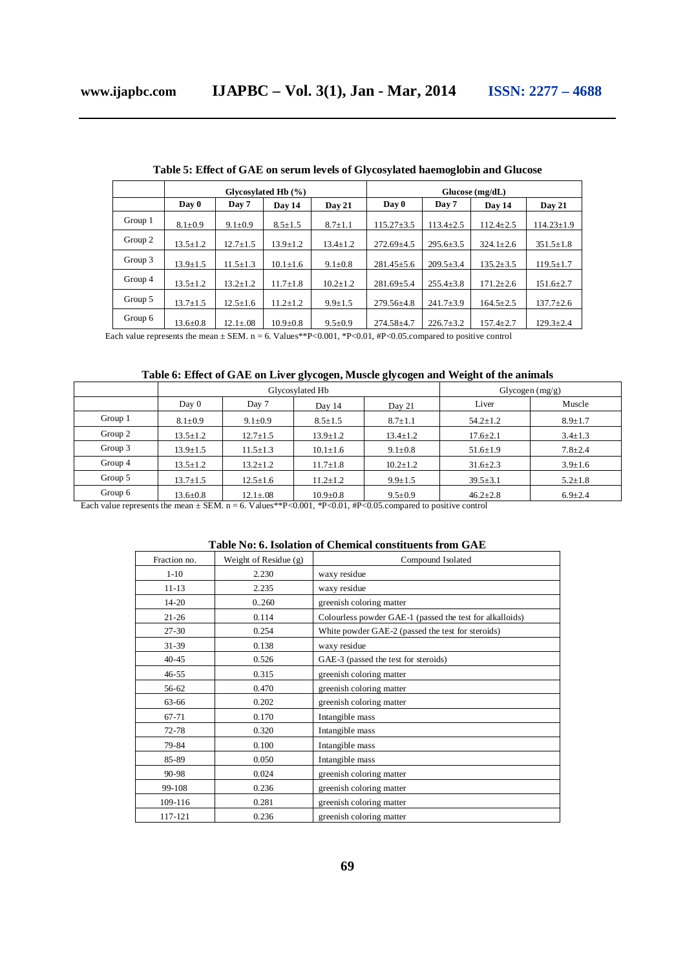|         | Glycosylated Hb (%) |                |                | $Glucose$ (mg/dL) |                  |                 |                 |                  |
|---------|---------------------|----------------|----------------|-------------------|------------------|-----------------|-----------------|------------------|
|         | Day 0               | Day 7          | Dav 14         | Day 21            | Day 0            | Day 7           | Day 14          | Day 21           |
| Group 1 | $8.1 \pm 0.9$       | $9.1 \pm 0.9$  | $8.5 \pm 1.5$  | $8.7 \pm 1.1$     | $115.27 \pm 3.5$ | $113.4 \pm 2.5$ | $112.4 \pm 2.5$ | $114.23 \pm 1.9$ |
| Group 2 | $13.5 \pm 1.2$      | $12.7 \pm 1.5$ | $13.9 \pm 1.2$ | $13.4 \pm 1.2$    | $272.69 \pm 4.5$ | $295.6 \pm 3.5$ | $324.1 \pm 2.6$ | $351.5 \pm 1.8$  |
| Group 3 | $13.9 \pm 1.5$      | $11.5 \pm 1.3$ | $10.1 \pm 1.6$ | $9.1 \pm 0.8$     | $281.45 \pm 5.6$ | $209.5 \pm 3.4$ | $135.2 \pm 3.5$ | $119.5 \pm 1.7$  |
| Group 4 | $13.5 \pm 1.2$      | $13.2 \pm 1.2$ | $11.7 \pm 1.8$ | $10.2 \pm 1.2$    | $281.69 \pm 5.4$ | $255.4 \pm 3.8$ | $171.2 \pm 2.6$ | $151.6 \pm 2.7$  |
| Group 5 | $13.7 \pm 1.5$      | $12.5 \pm 1.6$ | $11.2 \pm 1.2$ | $9.9 \pm 1.5$     | $279.56 \pm 4.8$ | $241.7 \pm 3.9$ | $164.5 \pm 2.5$ | $137.7 \pm 2.6$  |
| Group 6 | $13.6 \pm 0.8$      | $12.1 \pm .08$ | $10.9 + 0.8$   | $9.5 \pm 0.9$     | $274.58 \pm 4.7$ | $226.7 \pm 3.2$ | $157.4 \pm 2.7$ | $129.3 \pm 2.4$  |

**Table 5: Effect of GAE on serum levels of Glycosylated haemoglobin and Glucose**

Each value represents the mean  $\pm$  SEM. n = 6. Values\*\*P<0.001, \*P<0.01, #P<0.05.compared to positive control

# **Table 6: Effect of GAE on Liver glycogen, Muscle glycogen and Weight of the animals**

|         |                | Glycosylated Hb | Glycogen $(mg/g)$ |                |                |               |
|---------|----------------|-----------------|-------------------|----------------|----------------|---------------|
|         | Day 0          | Day 7           | Day 14            | Day 21         | Liver          | Muscle        |
| Group 1 | $8.1 \pm 0.9$  | $9.1 \pm 0.9$   | $8.5 \pm 1.5$     | $8.7 \pm 1.1$  | $54.2 \pm 1.2$ | $8.9 \pm 1.7$ |
| Group 2 | $13.5 \pm 1.2$ | $12.7 \pm 1.5$  | $13.9 \pm 1.2$    | $13.4 \pm 1.2$ | $17.6 \pm 2.1$ | $3.4 \pm 1.3$ |
| Group 3 | $13.9 \pm 1.5$ | $11.5 \pm 1.3$  | $10.1 \pm 1.6$    | $9.1 \pm 0.8$  | $51.6 \pm 1.9$ | $7.8 \pm 2.4$ |
| Group 4 | $13.5 \pm 1.2$ | $13.2 \pm 1.2$  | $11.7 \pm 1.8$    | $10.2 \pm 1.2$ | $31.6 \pm 2.3$ | $3.9 \pm 1.6$ |
| Group 5 | $13.7 \pm 1.5$ | $12.5 \pm 1.6$  | $11.2 \pm 1.2$    | $9.9 \pm 1.5$  | $39.5 \pm 3.1$ | $5.2 \pm 1.8$ |
| Group 6 | $13.6 \pm 0.8$ | $12.1 \pm .08$  | $10.9 \pm 0.8$    | $9.5 \pm 0.9$  | $46.2 \pm 2.8$ | $6.9 \pm 2.4$ |

Each value represents the mean  $\pm$  SEM. n = 6. Values\*\*P<0.001, \*P<0.01, #P<0.05.compared to positive control

# **Table No: 6. Isolation of Chemical constituents from GAE**

| Fraction no. | Weight of Residue $(g)$ | Compound Isolated                                        |
|--------------|-------------------------|----------------------------------------------------------|
| $1 - 10$     | 2.230                   | waxy residue                                             |
| $11 - 13$    | 2.235                   | waxy residue                                             |
| $14 - 20$    | 0.260                   | greenish coloring matter                                 |
| $21 - 26$    | 0.114                   | Colourless powder GAE-1 (passed the test for alkalloids) |
| $27 - 30$    | 0.254                   | White powder GAE-2 (passed the test for steroids)        |
| $31 - 39$    | 0.138                   | waxy residue                                             |
| $40 - 45$    | 0.526                   | GAE-3 (passed the test for steroids)                     |
| $46 - 55$    | 0.315                   | greenish coloring matter                                 |
| 56-62        | 0.470                   | greenish coloring matter                                 |
| 63-66        | 0.202                   | greenish coloring matter                                 |
| 67-71        | 0.170                   | Intangible mass                                          |
| $72 - 78$    | 0.320                   | Intangible mass                                          |
| 79-84        | 0.100                   | Intangible mass                                          |
| 85-89        | 0.050                   | Intangible mass                                          |
| 90-98        | 0.024                   | greenish coloring matter                                 |
| 99-108       | 0.236                   | greenish coloring matter                                 |
| 109-116      | 0.281                   | greenish coloring matter                                 |
| 117-121      | 0.236                   | greenish coloring matter                                 |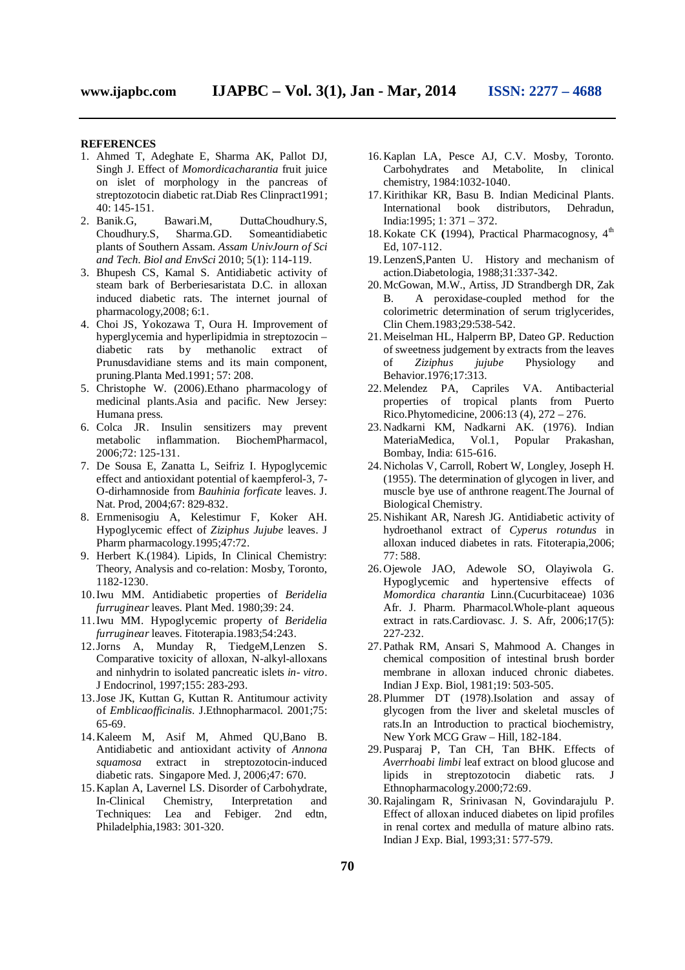# **REFERENCES**

- 1. Ahmed T, Adeghate E, Sharma AK, Pallot DJ, Singh J. Effect of *Momordicacharantia* fruit juice on islet of morphology in the pancreas of streptozotocin diabetic rat.Diab Res Clinpract1991; 40:  $145-151$ .<br>2. Banik.G,
- Banik.G, Bawari.M, DuttaChoudhury.S, Choudhury.S, Sharma.GD. Someantidiabetic Someantidiabetic plants of Southern Assam. *Assam UnivJourn of Sci and Tech. Biol and EnvSci* 2010; 5(1): 114-119.
- 3. Bhupesh CS, Kamal S. Antidiabetic activity of steam bark of Berberiesaristata D.C. in alloxan induced diabetic rats. The internet journal of pharmacology,2008; 6:1.
- 4. Choi JS, Yokozawa T, Oura H. Improvement of hyperglycemia and hyperlipidmia in streptozocin – diabetic rats by methanolic extract of Prunusdavidiane stems and its main component, pruning.Planta Med.1991; 57: 208.
- 5. Christophe W. (2006).Ethano pharmacology of medicinal plants.Asia and pacific. New Jersey: Humana press.
- 6. Colca JR. Insulin sensitizers may prevent metabolic inflammation. BiochemPharmacol, 2006;72: 125-131.
- 7. De Sousa E, Zanatta L, Seifriz I. Hypoglycemic effect and antioxidant potential of kaempferol-3, 7- O-dirhamnoside from *Bauhinia forficate* leaves. J. Nat. Prod, 2004;67: 829-832.
- 8. Ernmenisogiu A, Kelestimur F, Koker AH. Hypoglycemic effect of *Ziziphus Jujube* leaves. J Pharm pharmacology.1995;47:72.
- 9. Herbert K.(1984). Lipids, In Clinical Chemistry: Theory, Analysis and co-relation: Mosby, Toronto, 1182-1230.
- 10.Iwu MM. Antidiabetic properties of *Beridelia furruginear* leaves. Plant Med. 1980;39: 24.
- 11.Iwu MM. Hypoglycemic property of *Beridelia furruginear* leaves. Fitoterapia.1983;54:243.
- 12.Jorns A, Munday R, TiedgeM,Lenzen S. Comparative toxicity of alloxan, N-alkyl-alloxans and ninhydrin to isolated pancreatic islets *in- vitro*. J Endocrinol, 1997;155: 283-293.
- 13.Jose JK, Kuttan G, Kuttan R. Antitumour activity of *Emblicaofficinalis*. J.Ethnopharmacol. 2001;75: 65-69.
- 14.Kaleem M, Asif M, Ahmed QU,Bano B. Antidiabetic and antioxidant activity of *Annona squamosa* extract in streptozotocin-induced diabetic rats. Singapore Med. J, 2006;47: 670.
- 15.Kaplan A, Lavernel LS. Disorder of Carbohydrate, In-Clinical Chemistry, Interpretation and Techniques: Lea and Febiger. 2nd edtn, Philadelphia,1983: 301-320.
- 16.Kaplan LA, Pesce AJ, C.V. Mosby, Toronto. Carbohydrates and Metabolite, In clinical chemistry, 1984:1032-1040.
- 17.Kirithikar KR, Basu B. Indian Medicinal Plants. distributors, India:1995; 1: 371 – 372.
- 18. Kokate CK (1994), Practical Pharmacognosy, 4<sup>th</sup> Ed, 107-112.
- 19.LenzenS,Panten U. History and mechanism of action.Diabetologia, 1988;31:337-342.
- 20.McGowan, M.W., Artiss, JD Strandbergh DR, Zak B. A peroxidase-coupled method for the colorimetric determination of serum triglycerides, Clin Chem.1983;29:538-542.
- 21.Meiselman HL, Halperrn BP, Dateo GP. Reduction of sweetness judgement by extracts from the leaves of *Ziziphus jujube* Physiology and Behavior.1976;17:313.
- 22.Melendez PA, Capriles VA. Antibacterial properties of tropical plants from Puerto Rico.Phytomedicine, 2006:13 (4), 272 – 276.
- 23.Nadkarni KM, Nadkarni AK. (1976). Indian MateriaMedica, Vol.1, Popular Prakashan, Bombay, India: 615-616.
- 24.Nicholas V, Carroll, Robert W, Longley, Joseph H. (1955). The determination of glycogen in liver, and muscle bye use of anthrone reagent.The Journal of Biological Chemistry.
- 25.Nishikant AR, Naresh JG. Antidiabetic activity of hydroethanol extract of *Cyperus rotundus* in alloxan induced diabetes in rats. Fitoterapia,2006; 77: 588.
- 26.Ojewole JAO, Adewole SO, Olayiwola G. Hypoglycemic and hypertensive effects of *Momordica charantia* Linn.(Cucurbitaceae) 1036 Afr. J. Pharm. Pharmacol.Whole-plant aqueous extract in rats.Cardiovasc. J. S. Afr, 2006;17(5): 227-232.
- 27. Pathak RM, Ansari S, Mahmood A. Changes in chemical composition of intestinal brush border membrane in alloxan induced chronic diabetes. Indian J Exp. Biol, 1981;19: 503-505.
- 28. Plummer DT (1978).Isolation and assay of glycogen from the liver and skeletal muscles of rats.In an Introduction to practical biochemistry, New York MCG Graw – Hill, 182-184.
- 29. Pusparaj P, Tan CH, Tan BHK. Effects of *Averrhoabi limbi* leaf extract on blood glucose and lipids in streptozotocin diabetic rats. J Ethnopharmacology.2000;72:69.
- 30.Rajalingam R, Srinivasan N, Govindarajulu P. Effect of alloxan induced diabetes on lipid profiles in renal cortex and medulla of mature albino rats. Indian J Exp. Bial, 1993;31: 577-579.